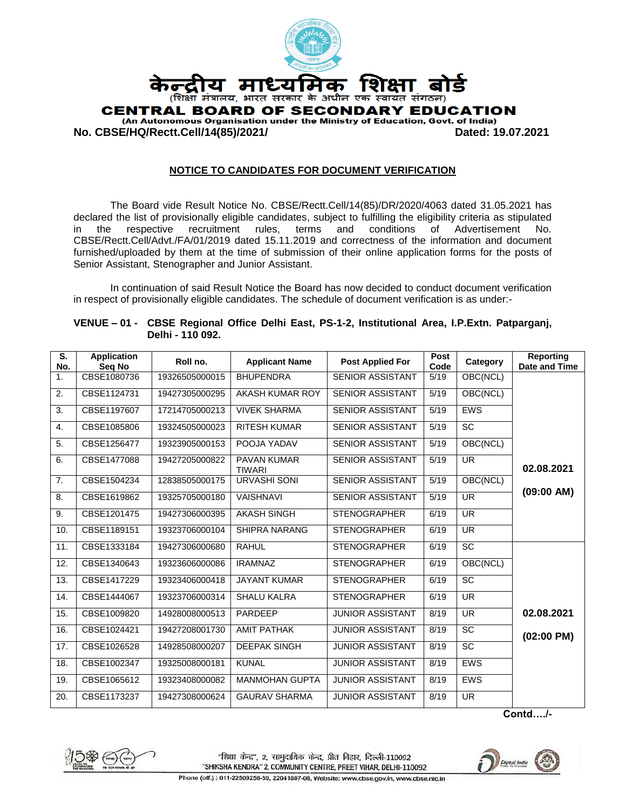

**No. CBSE/HQ/Rectt.Cell/14(85)/2021/ Dated: 19.07.2021**

#### **NOTICE TO CANDIDATES FOR DOCUMENT VERIFICATION**

The Board vide Result Notice No. CBSE/Rectt.Cell/14(85)/DR/2020/4063 dated 31.05.2021 has declared the list of provisionally eligible candidates, subject to fulfilling the eligibility criteria as stipulated in the respective recruitment rules, terms and conditions of Advertisement No. CBSE/Rectt.Cell/Advt./FA/01/2019 dated 15.11.2019 and correctness of the information and document furnished/uploaded by them at the time of submission of their online application forms for the posts of Senior Assistant, Stenographer and Junior Assistant.

In continuation of said Result Notice the Board has now decided to conduct document verification in respect of provisionally eligible candidates. The schedule of document verification is as under:-

| S.<br>No.      | <b>Application</b><br>Seq No | Roll no.       | <b>Applicant Name</b>               | <b>Post Applied For</b> | Post<br>Code | Category                 | <b>Reporting</b><br>Date and Time |
|----------------|------------------------------|----------------|-------------------------------------|-------------------------|--------------|--------------------------|-----------------------------------|
| 1.             | CBSE1080736                  | 19326505000015 | <b>BHUPENDRA</b>                    | <b>SENIOR ASSISTANT</b> | 5/19         | OBC(NCL)                 |                                   |
| 2.             | CBSE1124731                  | 19427305000295 | AKASH KUMAR ROY                     | <b>SENIOR ASSISTANT</b> | 5/19         | OBC(NCL)                 |                                   |
| 3.             | CBSE1197607                  | 17214705000213 | <b>VIVEK SHARMA</b>                 | <b>SENIOR ASSISTANT</b> | 5/19         | <b>EWS</b>               |                                   |
| 4.             | CBSE1085806                  | 19324505000023 | <b>RITESH KUMAR</b>                 | <b>SENIOR ASSISTANT</b> | 5/19         | SC                       |                                   |
| 5.             | CBSE1256477                  | 19323905000153 | POOJA YADAV                         | <b>SENIOR ASSISTANT</b> | 5/19         | OBC(NCL)                 |                                   |
| 6.             | CBSE1477088                  | 19427205000822 | <b>PAVAN KUMAR</b><br><b>TIWARI</b> | <b>SENIOR ASSISTANT</b> | 5/19         | <b>UR</b>                | 02.08.2021                        |
| 7 <sub>1</sub> | CBSE1504234                  | 12838505000175 | <b>URVASHI SONI</b>                 | <b>SENIOR ASSISTANT</b> | 5/19         | OBC(NCL)                 |                                   |
| 8.             | CBSE1619862                  | 19325705000180 | <b>VAISHNAVI</b>                    | <b>SENIOR ASSISTANT</b> | 5/19         | <b>UR</b>                | (09:00 AM)                        |
| 9.             | CBSE1201475                  | 19427306000395 | <b>AKASH SINGH</b>                  | <b>STENOGRAPHER</b>     | 6/19         | $\overline{\mathsf{UR}}$ |                                   |
| 10.            | CBSE1189151                  | 19323706000104 | <b>SHIPRA NARANG</b>                | <b>STENOGRAPHER</b>     | 6/19         | <b>UR</b>                |                                   |
| 11.            | CBSE1333184                  | 19427306000680 | <b>RAHUL</b>                        | <b>STENOGRAPHER</b>     | 6/19         | <b>SC</b>                |                                   |
| 12.            | CBSE1340643                  | 19323606000086 | <b>IRAMNAZ</b>                      | <b>STENOGRAPHER</b>     | 6/19         | OBC(NCL)                 |                                   |
| 13.            | CBSE1417229                  | 19323406000418 | <b>JAYANT KUMAR</b>                 | <b>STENOGRAPHER</b>     | 6/19         | <b>SC</b>                |                                   |
| 14.            | CBSE1444067                  | 19323706000314 | <b>SHALU KALRA</b>                  | <b>STENOGRAPHER</b>     | 6/19         | <b>UR</b>                |                                   |
| 15.            | CBSE1009820                  | 14928008000513 | PARDEEP                             | <b>JUNIOR ASSISTANT</b> | 8/19         | <b>UR</b>                | 02.08.2021                        |
| 16.            | CBSE1024421                  | 19427208001730 | <b>AMIT PATHAK</b>                  | <b>JUNIOR ASSISTANT</b> | 8/19         | <b>SC</b>                | $(02:00 \text{ PM})$              |
| 17.            | CBSE1026528                  | 14928508000207 | <b>DEEPAK SINGH</b>                 | <b>JUNIOR ASSISTANT</b> | 8/19         | SC                       |                                   |
| 18.            | CBSE1002347                  | 19325008000181 | <b>KUNAL</b>                        | <b>JUNIOR ASSISTANT</b> | 8/19         | <b>EWS</b>               |                                   |
| 19.            | CBSE1065612                  | 19323408000082 | <b>MANMOHAN GUPTA</b>               | <b>JUNIOR ASSISTANT</b> | 8/19         | <b>EWS</b>               |                                   |
| 20.            | CBSE1173237                  | 19427308000624 | <b>GAURAV SHARMA</b>                | <b>JUNIOR ASSISTANT</b> | 8/19         | <b>UR</b>                |                                   |

**VENUE – 01 - CBSE Regional Office Delhi East, PS-1-2, Institutional Area, I.P.Extn. Patparganj, Delhi - 110 092.**

**Contd…./-**



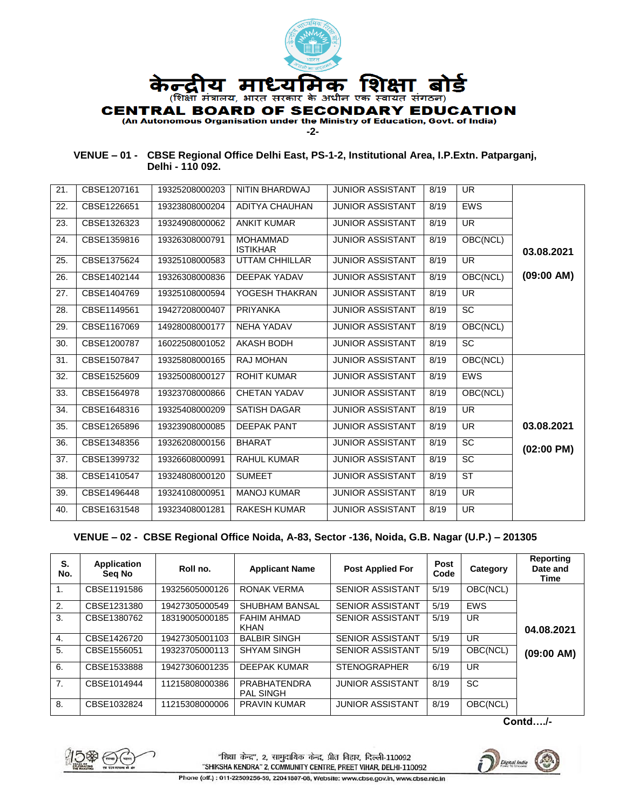

#### **VENUE – 01 - CBSE Regional Office Delhi East, PS-1-2, Institutional Area, I.P.Extn. Patparganj, Delhi - 110 092.**

| 21. | CBSE1207161 | 19325208000203 | NITIN BHARDWAJ                     | <b>JUNIOR ASSISTANT</b> | 8/19 | UR.                    |                      |
|-----|-------------|----------------|------------------------------------|-------------------------|------|------------------------|----------------------|
| 22. | CBSE1226651 | 19323808000204 | <b>ADITYA CHAUHAN</b>              | <b>JUNIOR ASSISTANT</b> | 8/19 | <b>EWS</b>             |                      |
| 23. | CBSE1326323 | 19324908000062 | <b>ANKIT KUMAR</b>                 | <b>JUNIOR ASSISTANT</b> | 8/19 | UR.                    |                      |
| 24. | CBSE1359816 | 19326308000791 | <b>MOHAMMAD</b><br><b>ISTIKHAR</b> | <b>JUNIOR ASSISTANT</b> | 8/19 | OBC(NCL)               | 03.08.2021           |
| 25. | CBSE1375624 | 19325108000583 | <b>UTTAM CHHILLAR</b>              | <b>JUNIOR ASSISTANT</b> | 8/19 | <b>UR</b>              |                      |
| 26. | CBSE1402144 | 19326308000836 | DEEPAK YADAV                       | <b>JUNIOR ASSISTANT</b> | 8/19 | OBC(NCL)               | (09:00 AM)           |
| 27. | CBSE1404769 | 19325108000594 | YOGESH THAKRAN                     | <b>JUNIOR ASSISTANT</b> | 8/19 | <b>UR</b>              |                      |
| 28. | CBSE1149561 | 19427208000407 | <b>PRIYANKA</b>                    | <b>JUNIOR ASSISTANT</b> | 8/19 | <b>SC</b>              |                      |
| 29. | CBSE1167069 | 14928008000177 | <b>NEHA YADAV</b>                  | <b>JUNIOR ASSISTANT</b> | 8/19 | OBC(NCL)               |                      |
| 30. | CBSE1200787 | 16022508001052 | <b>AKASH BODH</b>                  | <b>JUNIOR ASSISTANT</b> | 8/19 | <b>SC</b>              |                      |
| 31. | CBSE1507847 | 19325808000165 | <b>RAJ MOHAN</b>                   | <b>JUNIOR ASSISTANT</b> | 8/19 | OBC(NCL)               |                      |
| 32. | CBSE1525609 | 19325008000127 | <b>ROHIT KUMAR</b>                 | <b>JUNIOR ASSISTANT</b> | 8/19 | <b>EWS</b>             |                      |
| 33. | CBSE1564978 | 19323708000866 | <b>CHETAN YADAV</b>                | <b>JUNIOR ASSISTANT</b> | 8/19 | OBC(NCL)               |                      |
| 34. | CBSE1648316 | 19325408000209 | <b>SATISH DAGAR</b>                | <b>JUNIOR ASSISTANT</b> | 8/19 | <b>UR</b>              |                      |
| 35. | CBSE1265896 | 19323908000085 | <b>DEEPAK PANT</b>                 | <b>JUNIOR ASSISTANT</b> | 8/19 | <b>UR</b>              | 03.08.2021           |
| 36. | CBSE1348356 | 19326208000156 | <b>BHARAT</b>                      | <b>JUNIOR ASSISTANT</b> | 8/19 | <b>SC</b>              | $(02:00 \text{ PM})$ |
| 37. | CBSE1399732 | 19326608000991 | <b>RAHUL KUMAR</b>                 | <b>JUNIOR ASSISTANT</b> | 8/19 | <b>SC</b>              |                      |
| 38. | CBSE1410547 | 19324808000120 | <b>SUMEET</b>                      | <b>JUNIOR ASSISTANT</b> | 8/19 | $\overline{\text{ST}}$ |                      |
| 39. | CBSE1496448 | 19324108000951 | <b>MANOJ KUMAR</b>                 | <b>JUNIOR ASSISTANT</b> | 8/19 | <b>UR</b>              |                      |
| 40. | CBSE1631548 | 19323408001281 | <b>RAKESH KUMAR</b>                | <b>JUNIOR ASSISTANT</b> | 8/19 | <b>UR</b>              |                      |
|     |             |                |                                    |                         |      |                        |                      |

# **VENUE – 02 - CBSE Regional Office Noida, A-83, Sector -136, Noida, G.B. Nagar (U.P.) – 201305**

| S.<br>No.      | Application<br>Seg No | Roll no.       | <b>Applicant Name</b>            | <b>Post Applied For</b> | <b>Post</b><br>Code | Category              | Reporting<br>Date and<br><b>Time</b> |
|----------------|-----------------------|----------------|----------------------------------|-------------------------|---------------------|-----------------------|--------------------------------------|
| 1.             | CBSE1191586           | 19325605000126 | RONAK VERMA                      | <b>SENIOR ASSISTANT</b> | 5/19                | $\overline{OBC}(NCL)$ |                                      |
| 2.             | CBSE1231380           | 19427305000549 | <b>SHUBHAM BANSAL</b>            | <b>SENIOR ASSISTANT</b> | 5/19                | <b>EWS</b>            |                                      |
| 3.             | CBSE1380762           | 18319005000185 | FAHIM AHMAD<br><b>KHAN</b>       | <b>SENIOR ASSISTANT</b> | 5/19                | UR.                   | 04.08.2021                           |
| $\mathbf{4}$ . | CBSE1426720           | 19427305001103 | <b>BALBIR SINGH</b>              | <b>SENIOR ASSISTANT</b> | 5/19                | <b>UR</b>             |                                      |
| 5.             | CBSE1556051           | 19323705000113 | <b>SHYAM SINGH</b>               | <b>SENIOR ASSISTANT</b> | 5/19                | OBC(NCL)              | (09:00 AM)                           |
| 6.             | CBSE1533888           | 19427306001235 | <b>DEEPAK KUMAR</b>              | <b>STENOGRAPHER</b>     | 6/19                | UR                    |                                      |
| 7.             | CBSE1014944           | 11215808000386 | PRABHATENDRA<br><b>PAL SINGH</b> | <b>JUNIOR ASSISTANT</b> | 8/19                | <b>SC</b>             |                                      |
| 8.             | CBSE1032824           | 11215308000006 | <b>PRAVIN KUMAR</b>              | <b>JUNIOR ASSISTANT</b> | 8/19                | OBC(NCL)              |                                      |

**Contd…./-**



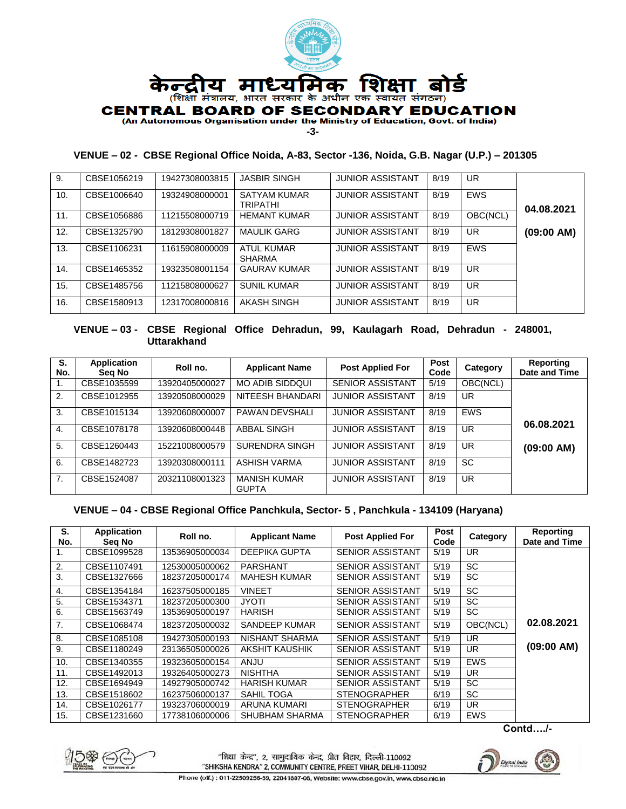

**-3-**

## **VENUE – 02 - CBSE Regional Office Noida, A-83, Sector -136, Noida, G.B. Nagar (U.P.) – 201305**

| 9.  | CBSE1056219 | 19427308003815 | <b>JASBIR SINGH</b>             | <b>JUNIOR ASSISTANT</b> | 8/19 | UR.        |            |
|-----|-------------|----------------|---------------------------------|-------------------------|------|------------|------------|
| 10. | CBSE1006640 | 19324908000001 | SATYAM KUMAR<br><b>TRIPATHI</b> | <b>JUNIOR ASSISTANT</b> | 8/19 | <b>EWS</b> | 04.08.2021 |
| 11. | CBSE1056886 | 11215508000719 | <b>HEMANT KUMAR</b>             | <b>JUNIOR ASSISTANT</b> | 8/19 | OBC(NCL)   |            |
| 12. | CBSE1325790 | 18129308001827 | <b>MAULIK GARG</b>              | <b>JUNIOR ASSISTANT</b> | 8/19 | <b>UR</b>  | (09:00 AM) |
| 13. | CBSE1106231 | 11615908000009 | ATUL KUMAR<br>SHARMA            | <b>JUNIOR ASSISTANT</b> | 8/19 | <b>EWS</b> |            |
| 14. | CBSE1465352 | 19323508001154 | <b>GAURAV KUMAR</b>             | <b>JUNIOR ASSISTANT</b> | 8/19 | UR.        |            |
| 15. | CBSE1485756 | 11215808000627 | <b>SUNIL KUMAR</b>              | <b>JUNIOR ASSISTANT</b> | 8/19 | UR         |            |
| 16. | CBSE1580913 | 12317008000816 | AKASH SINGH                     | <b>JUNIOR ASSISTANT</b> | 8/19 | UR.        |            |

#### **VENUE – 03 - CBSE Regional Office Dehradun, 99, Kaulagarh Road, Dehradun - 248001, Uttarakhand**

| S.<br>No.    | <b>Application</b><br>Sea No | Roll no.       | <b>Applicant Name</b>               | <b>Post Applied For</b> | Post<br>Code | Category   | <b>Reporting</b><br>Date and Time |
|--------------|------------------------------|----------------|-------------------------------------|-------------------------|--------------|------------|-----------------------------------|
| 1.           | CBSE1035599                  | 13920405000027 | <b>MO ADIB SIDDQUI</b>              | <b>SENIOR ASSISTANT</b> | 5/19         | OBC(NCL)   |                                   |
| 2.           | CBSE1012955                  | 13920508000029 | NITEESH BHANDARI                    | <b>JUNIOR ASSISTANT</b> | 8/19         | UR.        |                                   |
| 3.           | CBSE1015134                  | 13920608000007 | <b>PAWAN DEVSHALI</b>               | <b>JUNIOR ASSISTANT</b> | 8/19         | <b>EWS</b> | 06.08.2021                        |
| $\mathbf{4}$ | CBSE1078178                  | 13920608000448 | <b>ABBAL SINGH</b>                  | <b>JUNIOR ASSISTANT</b> | 8/19         | <b>UR</b>  |                                   |
| 5.           | CBSE1260443                  | 15221008000579 | <b>SURENDRA SINGH</b>               | <b>JUNIOR ASSISTANT</b> | 8/19         | <b>UR</b>  | (09:00 AM)                        |
| 6.           | CBSE1482723                  | 13920308000111 | ASHISH VARMA                        | <b>JUNIOR ASSISTANT</b> | 8/19         | <b>SC</b>  |                                   |
| 7.           | CBSE1524087                  | 20321108001323 | <b>MANISH KUMAR</b><br><b>GUPTA</b> | <b>JUNIOR ASSISTANT</b> | 8/19         | <b>UR</b>  |                                   |

#### **VENUE – 04 - CBSE Regional Office Panchkula, Sector- 5 , Panchkula - 134109 (Haryana)**

| S.<br>No. | Application<br>Seg No | Roll no.       | <b>Applicant Name</b> | <b>Post Applied For</b> | <b>Post</b><br>Code | Category   | Reporting<br>Date and Time |
|-----------|-----------------------|----------------|-----------------------|-------------------------|---------------------|------------|----------------------------|
| 1.        | CBSE1099528           | 13536905000034 | <b>DEEPIKA GUPTA</b>  | <b>SENIOR ASSISTANT</b> | 5/19                | UR         |                            |
| 2.        | CBSE1107491           | 12530005000062 | <b>PARSHANT</b>       | <b>SENIOR ASSISTANT</b> | 5/19                | <b>SC</b>  |                            |
| 3.        | CBSE1327666           | 18237205000174 | <b>MAHESH KUMAR</b>   | SENIOR ASSISTANT        | 5/19                | <b>SC</b>  |                            |
| 4.        | CBSE1354184           | 16237505000185 | <b>VINEET</b>         | <b>SENIOR ASSISTANT</b> | 5/19                | <b>SC</b>  |                            |
| 5.        | CBSE1534371           | 18237205000300 | <b>JYOTI</b>          | <b>SENIOR ASSISTANT</b> | 5/19                | <b>SC</b>  |                            |
| 6.        | CBSE1563749           | 13536905000197 | <b>HARISH</b>         | <b>SENIOR ASSISTANT</b> | 5/19                | SC         |                            |
| 7.        | CBSE1068474           | 18237205000032 | SANDEEP KUMAR         | SENIOR ASSISTANT        | 5/19                | OBC(NCL)   | 02.08.2021                 |
| 8.        | CBSE1085108           | 19427305000193 | NISHANT SHARMA        | <b>SENIOR ASSISTANT</b> | 5/19                | UR         |                            |
| 9.        | CBSE1180249           | 23136505000026 | AKSHIT KAUSHIK        | SENIOR ASSISTANT        | 5/19                | UR         | (09:00 AM)                 |
| 10.       | CBSE1340355           | 19323605000154 | ANJU                  | <b>SENIOR ASSISTANT</b> | 5/19                | <b>EWS</b> |                            |
| 11.       | CBSE1492013           | 19326405000273 | <b>NISHTHA</b>        | <b>SENIOR ASSISTANT</b> | 5/19                | UR         |                            |
| 12.       | CBSE1694949           | 14927905000742 | <b>HARISH KUMAR</b>   | <b>SENIOR ASSISTANT</b> | 5/19                | SC         |                            |
| 13.       | CBSE1518602           | 16237506000137 | SAHIL TOGA            | <b>STENOGRAPHER</b>     | 6/19                | <b>SC</b>  |                            |
| 14.       | CBSE1026177           | 19323706000019 | ARUNA KUMARI          | <b>STENOGRAPHER</b>     | 6/19                | UR         |                            |
| 15.       | CBSE1231660           | 17738106000006 | SHUBHAM SHARMA        | <b>STENOGRAPHER</b>     | 6/19                | <b>EWS</b> |                            |

**Contd…./-**



"शिक्षा केन्द्र", 2, सामुदायिक केन्द्र, प्रीत विहार, दिल्ली-110092 "SHIKSHA KENDRA" 2, COMMUNITY CENTRE, PREET VIHAR, DELHI-110092



Phone (off.): 011-22509256-59, 22041807-08, Website: www.cbse.gov.in, www.cbse.nic.in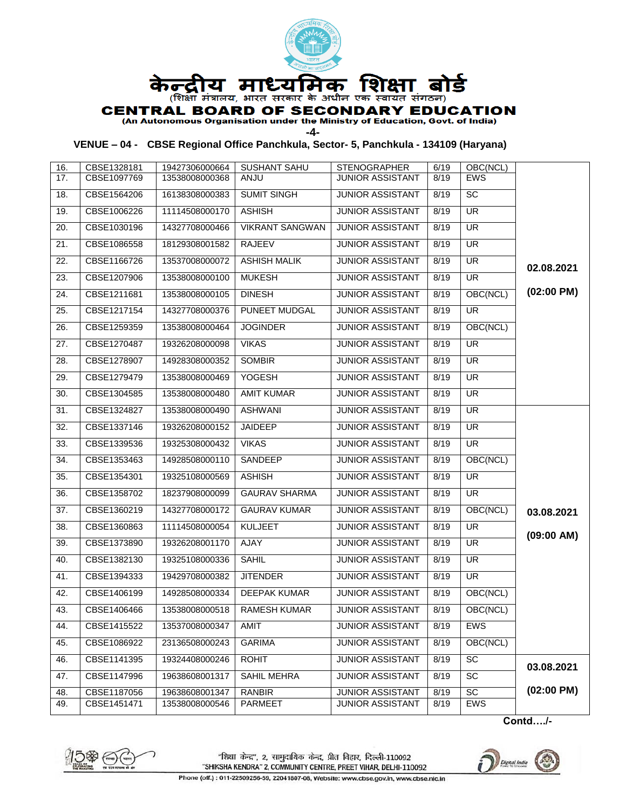

# **CENTRAL BOARD OF SECONDARY EDUCATION**

(An Autonomous Organisation under the Ministry of Education, Govt. of India)

**-4-**

# **VENUE – 04 - CBSE Regional Office Panchkula, Sector- 5, Panchkula - 134109 (Haryana)**

| 16. | CBSE1328181 | 19427306000664 | <b>SUSHANT SAHU</b>    | <b>STENOGRAPHER</b>     | 6/19 | OBC(NCL)   |                      |
|-----|-------------|----------------|------------------------|-------------------------|------|------------|----------------------|
| 17. | CBSE1097769 | 13538008000368 | ANJU                   | <b>JUNIOR ASSISTANT</b> | 8/19 | <b>EWS</b> |                      |
| 18. | CBSE1564206 | 16138308000383 | <b>SUMIT SINGH</b>     | <b>JUNIOR ASSISTANT</b> | 8/19 | SC         |                      |
| 19. | CBSE1006226 | 11114508000170 | <b>ASHISH</b>          | <b>JUNIOR ASSISTANT</b> | 8/19 | UR         |                      |
| 20. | CBSE1030196 | 14327708000466 | <b>VIKRANT SANGWAN</b> | <b>JUNIOR ASSISTANT</b> | 8/19 | <b>UR</b>  |                      |
| 21. | CBSE1086558 | 18129308001582 | RAJEEV                 | <b>JUNIOR ASSISTANT</b> | 8/19 | <b>UR</b>  |                      |
| 22. | CBSE1166726 | 13537008000072 | <b>ASHISH MALIK</b>    | <b>JUNIOR ASSISTANT</b> | 8/19 | UR         | 02.08.2021           |
| 23. | CBSE1207906 | 13538008000100 | <b>MUKESH</b>          | JUNIOR ASSISTANT        | 8/19 | <b>UR</b>  |                      |
| 24. | CBSE1211681 | 13538008000105 | <b>DINESH</b>          | <b>JUNIOR ASSISTANT</b> | 8/19 | OBC(NCL)   | $(02:00 \text{ PM})$ |
| 25. | CBSE1217154 | 14327708000376 | <b>PUNEET MUDGAL</b>   | <b>JUNIOR ASSISTANT</b> | 8/19 | UR         |                      |
| 26. | CBSE1259359 | 13538008000464 | <b>JOGINDER</b>        | <b>JUNIOR ASSISTANT</b> | 8/19 | OBC(NCL)   |                      |
| 27. | CBSE1270487 | 19326208000098 | <b>VIKAS</b>           | <b>JUNIOR ASSISTANT</b> | 8/19 | UR         |                      |
| 28. | CBSE1278907 | 14928308000352 | <b>SOMBIR</b>          | <b>JUNIOR ASSISTANT</b> | 8/19 | UR         |                      |
| 29. | CBSE1279479 | 13538008000469 | YOGESH                 | <b>JUNIOR ASSISTANT</b> | 8/19 | UR         |                      |
| 30. | CBSE1304585 | 13538008000480 | <b>AMIT KUMAR</b>      | <b>JUNIOR ASSISTANT</b> | 8/19 | UR         |                      |
| 31. | CBSE1324827 | 13538008000490 | <b>ASHWANI</b>         | <b>JUNIOR ASSISTANT</b> | 8/19 | <b>UR</b>  |                      |
| 32. | CBSE1337146 | 19326208000152 | JAIDEEP                | <b>JUNIOR ASSISTANT</b> | 8/19 | UR         |                      |
| 33. | CBSE1339536 | 19325308000432 | <b>VIKAS</b>           | <b>JUNIOR ASSISTANT</b> | 8/19 | UR         |                      |
| 34. | CBSE1353463 | 14928508000110 | SANDEEP                | <b>JUNIOR ASSISTANT</b> | 8/19 | OBC(NCL)   |                      |
| 35. | CBSE1354301 | 19325108000569 | <b>ASHISH</b>          | <b>JUNIOR ASSISTANT</b> | 8/19 | UR         |                      |
| 36. | CBSE1358702 | 18237908000099 | <b>GAURAV SHARMA</b>   | <b>JUNIOR ASSISTANT</b> | 8/19 | UR         |                      |
| 37. | CBSE1360219 | 14327708000172 | <b>GAURAV KUMAR</b>    | <b>JUNIOR ASSISTANT</b> | 8/19 | OBC(NCL)   | 03.08.2021           |
| 38. | CBSE1360863 | 11114508000054 | <b>KULJEET</b>         | <b>JUNIOR ASSISTANT</b> | 8/19 | <b>UR</b>  | (09:00 AM)           |
| 39. | CBSE1373890 | 19326208001170 | AJAY                   | <b>JUNIOR ASSISTANT</b> | 8/19 | UR         |                      |
| 40. | CBSE1382130 | 19325108000336 | <b>SAHIL</b>           | <b>JUNIOR ASSISTANT</b> | 8/19 | UR         |                      |
| 41. | CBSE1394333 | 19429708000382 | <b>JITENDER</b>        | <b>JUNIOR ASSISTANT</b> | 8/19 | UR         |                      |
| 42. | CBSE1406199 | 14928508000334 | <b>DEEPAK KUMAR</b>    | <b>JUNIOR ASSISTANT</b> | 8/19 | OBC(NCL)   |                      |
| 43. | CBSE1406466 | 13538008000518 | <b>RAMESH KUMAR</b>    | <b>JUNIOR ASSISTANT</b> | 8/19 | OBC(NCL)   |                      |
| 44. | CBSE1415522 | 13537008000347 | AMIT                   | <b>JUNIOR ASSISTANT</b> | 8/19 | <b>EWS</b> |                      |
| 45. | CBSE1086922 | 23136508000243 | <b>GARIMA</b>          | <b>JUNIOR ASSISTANT</b> | 8/19 | OBC(NCL)   |                      |
| 46. | CBSE1141395 | 19324408000246 | <b>ROHIT</b>           | <b>JUNIOR ASSISTANT</b> | 8/19 | SC         | 03.08.2021           |
| 47. | CBSE1147996 | 19638608001317 | SAHIL MEHRA            | <b>JUNIOR ASSISTANT</b> | 8/19 | SC         |                      |
| 48. | CBSE1187056 | 19638608001347 | <b>RANBIR</b>          | <b>JUNIOR ASSISTANT</b> | 8/19 | SC         | $(02:00 \text{ PM})$ |
| 49. | CBSE1451471 | 13538008000546 | PARMEET                | JUNIOR ASSISTANT        | 8/19 | <b>EWS</b> |                      |

**Contd…./-**



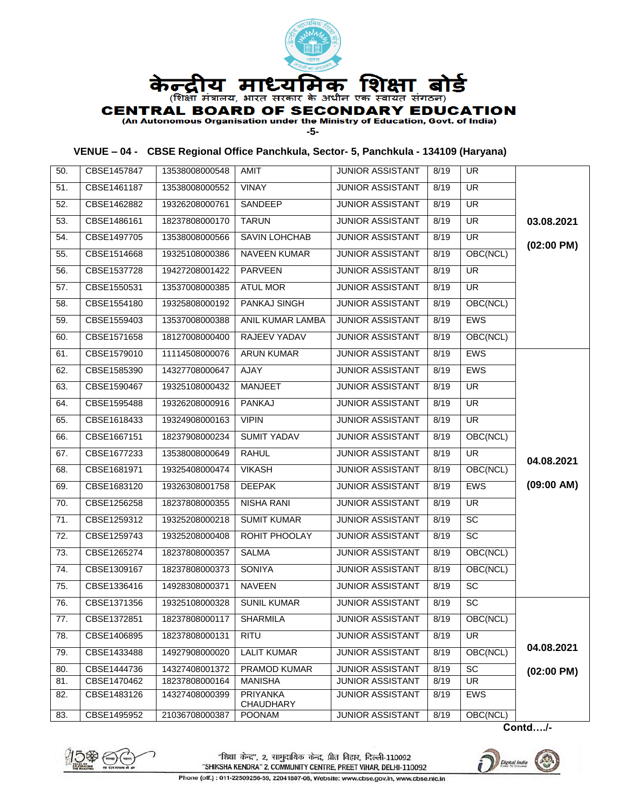

**-5-**

## **VENUE – 04 - CBSE Regional Office Panchkula, Sector- 5, Panchkula - 134109 (Haryana)**

| 50. | CBSE1457847 | 13538008000548            | AMIT                                | <b>JUNIOR ASSISTANT</b> | 8/19 | <b>UR</b>                |                      |
|-----|-------------|---------------------------|-------------------------------------|-------------------------|------|--------------------------|----------------------|
| 51. | CBSE1461187 | 13538008000552            | VINAY                               | <b>JUNIOR ASSISTANT</b> | 8/19 | <b>UR</b>                |                      |
| 52. | CBSE1462882 | 19326208000761            | SANDEEP                             | <b>JUNIOR ASSISTANT</b> | 8/19 | <b>UR</b>                |                      |
| 53. | CBSE1486161 | 18237808000170            | <b>TARUN</b>                        | <b>JUNIOR ASSISTANT</b> | 8/19 | $\overline{\mathsf{UR}}$ | 03.08.2021           |
| 54. | CBSE1497705 | 13538008000566            | SAVIN LOHCHAB                       | <b>JUNIOR ASSISTANT</b> | 8/19 | $\overline{\mathsf{UR}}$ | $(02:00 \text{ PM})$ |
| 55. | CBSE1514668 | 19325108000386            | <b>NAVEEN KUMAR</b>                 | <b>JUNIOR ASSISTANT</b> | 8/19 | OBC(NCL)                 |                      |
| 56. | CBSE1537728 | 19427208001422            | <b>PARVEEN</b>                      | <b>JUNIOR ASSISTANT</b> | 8/19 | UR                       |                      |
| 57. | CBSE1550531 | 13537008000385            | <b>ATUL MOR</b>                     | <b>JUNIOR ASSISTANT</b> | 8/19 | $\overline{\mathsf{UR}}$ |                      |
| 58. | CBSE1554180 | 19325808000192            | <b>PANKAJ SINGH</b>                 | <b>JUNIOR ASSISTANT</b> | 8/19 | OBC(NCL)                 |                      |
| 59. | CBSE1559403 | 13537008000388            | ANIL KUMAR LAMBA                    | JUNIOR ASSISTANT        | 8/19 | <b>EWS</b>               |                      |
| 60. | CBSE1571658 | 18127008000400            | RAJEEV YADAV                        | JUNIOR ASSISTANT        | 8/19 | OBC(NCL)                 |                      |
| 61. | CBSE1579010 | 11114508000076            | <b>ARUN KUMAR</b>                   | <b>JUNIOR ASSISTANT</b> | 8/19 | <b>EWS</b>               |                      |
| 62. | CBSE1585390 | 14327708000647            | AJAY                                | <b>JUNIOR ASSISTANT</b> | 8/19 | <b>EWS</b>               |                      |
| 63. | CBSE1590467 | 19325108000432            | <b>MANJEET</b>                      | JUNIOR ASSISTANT        | 8/19 | $\overline{\mathsf{UR}}$ |                      |
| 64. | CBSE1595488 | 19326208000916            | <b>PANKAJ</b>                       | <b>JUNIOR ASSISTANT</b> | 8/19 | $\overline{\mathsf{UR}}$ |                      |
| 65. | CBSE1618433 | 19324908000163            | <b>VIPIN</b>                        | <b>JUNIOR ASSISTANT</b> | 8/19 | <b>UR</b>                |                      |
| 66. | CBSE1667151 | 18237908000234            | <b>SUMIT YADAV</b>                  | <b>JUNIOR ASSISTANT</b> | 8/19 | OBC(NCL)                 |                      |
| 67. | CBSE1677233 | 13538008000649            | <b>RAHUL</b>                        | <b>JUNIOR ASSISTANT</b> | 8/19 | UR                       |                      |
| 68. | CBSE1681971 | 19325408000474            | <b>VIKASH</b>                       | <b>JUNIOR ASSISTANT</b> | 8/19 | OBC(NCL)                 | 04.08.2021           |
| 69. | CBSE1683120 | 19326308001758            | <b>DEEPAK</b>                       | <b>JUNIOR ASSISTANT</b> | 8/19 | <b>EWS</b>               | (09:00 AM)           |
| 70. | CBSE1256258 | 18237808000355            | <b>NISHA RANI</b>                   | <b>JUNIOR ASSISTANT</b> | 8/19 | $\overline{\mathsf{UR}}$ |                      |
| 71. | CBSE1259312 | 19325208000218            | <b>SUMIT KUMAR</b>                  | <b>JUNIOR ASSISTANT</b> | 8/19 | SC                       |                      |
| 72. | CBSE1259743 | 19325208000408            | ROHIT PHOOLAY                       | <b>JUNIOR ASSISTANT</b> | 8/19 | SC                       |                      |
| 73. | CBSE1265274 | 18237808000357            | <b>SALMA</b>                        | <b>JUNIOR ASSISTANT</b> | 8/19 | OBC(NCL)                 |                      |
| 74. | CBSE1309167 | 18237808000373            | SONIYA                              | <b>JUNIOR ASSISTANT</b> | 8/19 | OBC(NCL)                 |                      |
| 75. | CBSE1336416 | 14928308000371            | <b>NAVEEN</b>                       | JUNIOR ASSISTANT        | 8/19 | SC                       |                      |
| 76. | CBSE1371356 | 19325108000328            | <b>SUNIL KUMAR</b>                  | <b>JUNIOR ASSISTANT</b> | 8/19 | SC                       |                      |
| 77. | CBSE1372851 | 18237808000117   SHARMILA |                                     | JUNIOR ASSISTANT        | 8/19 | OBC(NCL)                 |                      |
| 78. | CBSE1406895 | 18237808000131            | RITU                                | <b>JUNIOR ASSISTANT</b> | 8/19 | UR                       |                      |
| 79. | CBSE1433488 | 14927908000020            | <b>LALIT KUMAR</b>                  | <b>JUNIOR ASSISTANT</b> | 8/19 | OBC(NCL)                 | 04.08.2021           |
| 80. | CBSE1444736 | 14327408001372            | PRAMOD KUMAR                        | <b>JUNIOR ASSISTANT</b> | 8/19 | $\overline{SC}$          | $(02:00$ PM)         |
| 81. | CBSE1470462 | 18237808000164            | <b>MANISHA</b>                      | JUNIOR ASSISTANT        | 8/19 | UR                       |                      |
| 82. | CBSE1483126 | 14327408000399            | <b>PRIYANKA</b><br><b>CHAUDHARY</b> | <b>JUNIOR ASSISTANT</b> | 8/19 | EWS                      |                      |
| 83. | CBSE1495952 | 21036708000387            | POONAM                              | <b>JUNIOR ASSISTANT</b> | 8/19 | OBC(NCL)                 |                      |

**Contd…./-**



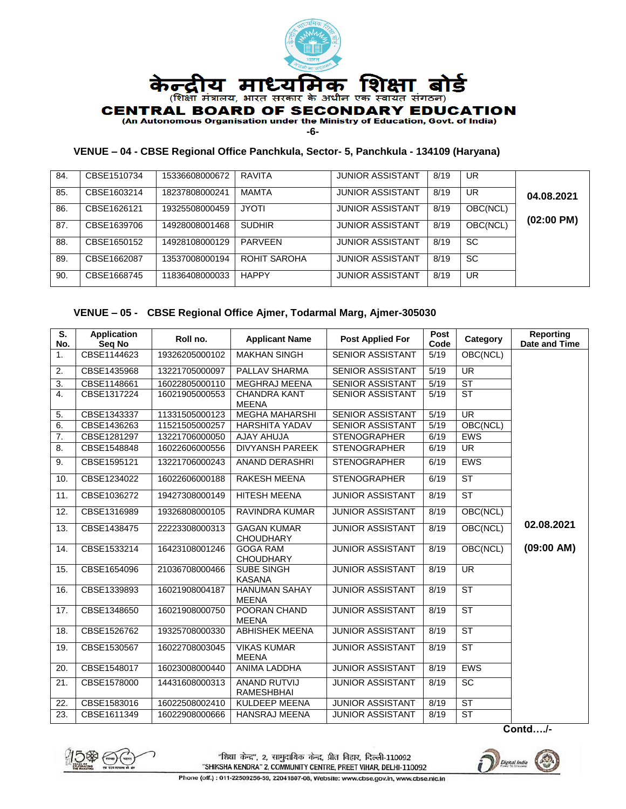

**-6-**

## **VENUE – 04 - CBSE Regional Office Panchkula, Sector- 5, Panchkula - 134109 (Haryana)**

| 84. | CBSE1510734 | 15336608000672 | <b>RAVITA</b> | <b>JUNIOR ASSISTANT</b> | 8/19 | UR        |                      |
|-----|-------------|----------------|---------------|-------------------------|------|-----------|----------------------|
| 85. | CBSE1603214 | 18237808000241 | MAMTA         | <b>JUNIOR ASSISTANT</b> | 8/19 | UR        | 04.08.2021           |
| 86. | CBSE1626121 | 19325508000459 | <b>JYOTI</b>  | <b>JUNIOR ASSISTANT</b> | 8/19 | OBC(NCL)  | $(02:00 \text{ PM})$ |
| 87. | CBSE1639706 | 14928008001468 | <b>SUDHIR</b> | <b>JUNIOR ASSISTANT</b> | 8/19 | OBC(NCL)  |                      |
| 88. | CBSE1650152 | 14928108000129 | PARVFFN       | <b>JUNIOR ASSISTANT</b> | 8/19 | SC        |                      |
| 89. | CBSE1662087 | 13537008000194 | ROHIT SAROHA  | <b>JUNIOR ASSISTANT</b> | 8/19 | <b>SC</b> |                      |
| 90. | CBSE1668745 | 11836408000033 | <b>HAPPY</b>  | <b>JUNIOR ASSISTANT</b> | 8/19 | UR        |                      |

## **VENUE – 05 - CBSE Regional Office Ajmer, Todarmal Marg, Ajmer-305030**

| S.               | <b>Application</b>    | Roll no.       | <b>Applicant Name</b>                    | <b>Post Applied For</b> | Post<br>Code | Category                 | <b>Reporting</b><br>Date and Time |
|------------------|-----------------------|----------------|------------------------------------------|-------------------------|--------------|--------------------------|-----------------------------------|
| No.<br>1.        | Seg No<br>CBSE1144623 | 19326205000102 | <b>MAKHAN SINGH</b>                      | <b>SENIOR ASSISTANT</b> | 5/19         | OBC(NCL)                 |                                   |
|                  |                       |                |                                          |                         |              |                          |                                   |
| 2.               | CBSE1435968           | 13221705000097 | PALLAV SHARMA                            | <b>SENIOR ASSISTANT</b> | 5/19         | $\overline{\mathsf{UR}}$ |                                   |
| 3.               | CBSE1148661           | 16022805000110 | <b>MEGHRAJ MEENA</b>                     | <b>SENIOR ASSISTANT</b> | 5/19         | ST                       |                                   |
| 4.               | CBSE1317224           | 16021905000553 | <b>CHANDRA KANT</b><br><b>MEENA</b>      | <b>SENIOR ASSISTANT</b> | 5/19         | <b>ST</b>                |                                   |
| 5.               | CBSE1343337           | 11331505000123 | <b>MEGHA MAHARSHI</b>                    | <b>SENIOR ASSISTANT</b> | 5/19         | $\overline{\mathsf{UR}}$ |                                   |
| 6.               | CBSE1436263           | 11521505000257 | <b>HARSHITA YADAV</b>                    | <b>SENIOR ASSISTANT</b> | 5/19         | OBC(NCL)                 |                                   |
| $\overline{7}$ . | CBSE1281297           | 13221706000050 | <b>AJAY AHUJA</b>                        | <b>STENOGRAPHER</b>     | 6/19         | <b>EWS</b>               |                                   |
| 8.               | CBSE1548848           | 16022606000556 | <b>DIVYANSH PAREEK</b>                   | <b>STENOGRAPHER</b>     | 6/19         | $\overline{\mathsf{UR}}$ |                                   |
| 9.               | CBSE1595121           | 13221706000243 | <b>ANAND DERASHRI</b>                    | <b>STENOGRAPHER</b>     | 6/19         | <b>EWS</b>               |                                   |
| 10.              | CBSE1234022           | 16022606000188 | <b>RAKESH MEENA</b>                      | <b>STENOGRAPHER</b>     | 6/19         | <b>ST</b>                |                                   |
| 11.              | CBSE1036272           | 19427308000149 | <b>HITESH MEENA</b>                      | <b>JUNIOR ASSISTANT</b> | 8/19         | $\overline{\text{ST}}$   |                                   |
| 12.              | CBSE1316989           | 19326808000105 | <b>RAVINDRA KUMAR</b>                    | <b>JUNIOR ASSISTANT</b> | 8/19         | OBC(NCL)                 |                                   |
| 13.              | CBSE1438475           | 22223308000313 | <b>GAGAN KUMAR</b><br><b>CHOUDHARY</b>   | <b>JUNIOR ASSISTANT</b> | 8/19         | OBC(NCL)                 | 02.08.2021                        |
| 14.              | CBSE1533214           | 16423108001246 | <b>GOGA RAM</b><br><b>CHOUDHARY</b>      | <b>JUNIOR ASSISTANT</b> | 8/19         | OBC(NCL)                 | (09:00 AM)                        |
| 15.              | CBSE1654096           | 21036708000466 | SUBE SINGH<br><b>KASANA</b>              | <b>JUNIOR ASSISTANT</b> | 8/19         | <b>UR</b>                |                                   |
| 16.              | CBSE1339893           | 16021908004187 | <b>HANUMAN SAHAY</b><br><b>MEENA</b>     | <b>JUNIOR ASSISTANT</b> | 8/19         | ST                       |                                   |
| 17.              | CBSE1348650           | 16021908000750 | POORAN CHAND<br><b>MEENA</b>             | <b>JUNIOR ASSISTANT</b> | 8/19         | <b>ST</b>                |                                   |
| 18.              | CBSE1526762           | 19325708000330 | <b>ABHISHEK MEENA</b>                    | <b>JUNIOR ASSISTANT</b> | 8/19         | $\overline{\text{ST}}$   |                                   |
| 19.              | CBSE1530567           | 16022708003045 | <b>VIKAS KUMAR</b><br><b>MEENA</b>       | <b>JUNIOR ASSISTANT</b> | 8/19         | ST                       |                                   |
| 20.              | CBSE1548017           | 16023008000440 | ANIMA LADDHA                             | <b>JUNIOR ASSISTANT</b> | 8/19         | <b>EWS</b>               |                                   |
| 21.              | CBSE1578000           | 14431608000313 | <b>ANAND RUTVIJ</b><br><b>RAMESHBHAI</b> | <b>JUNIOR ASSISTANT</b> | 8/19         | $\overline{SC}$          |                                   |
| 22.              | CBSE1583016           | 16022508002410 | KULDEEP MEENA                            | <b>JUNIOR ASSISTANT</b> | 8/19         | ST                       |                                   |
| 23.              | CBSE1611349           | 16022908000666 | HANSRAJ MEENA                            | <b>JUNIOR ASSISTANT</b> | 8/19         | $\overline{\text{ST}}$   |                                   |

**Contd…./-**



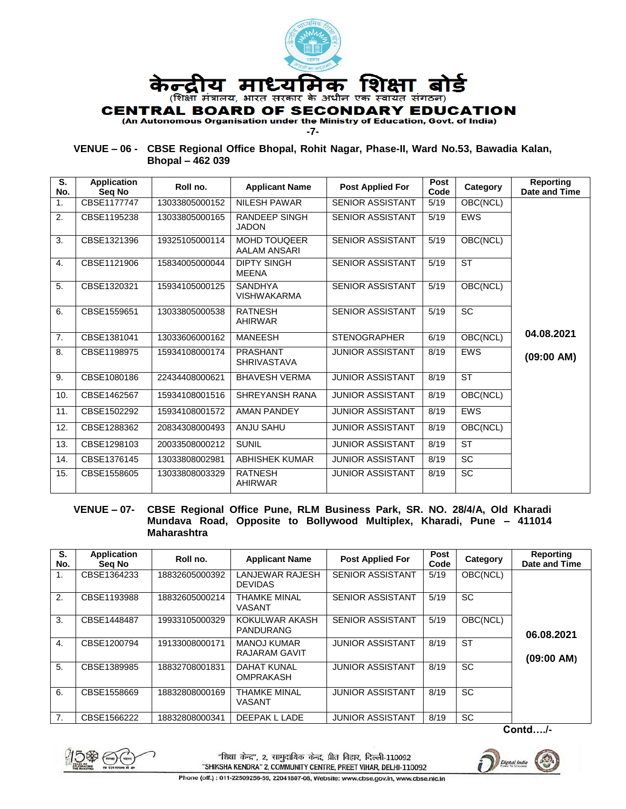

**-7-**

**VENUE – 06 - CBSE Regional Office Bhopal, Rohit Nagar, Phase-II, Ward No.53, Bawadia Kalan, Bhopal – 462 039**

| S.<br>No. | <b>Application</b><br>Seg No | Roll no.       | <b>Applicant Name</b>                 | <b>Post Applied For</b> | Post<br>Code | Category   | <b>Reporting</b><br><b>Date and Time</b> |
|-----------|------------------------------|----------------|---------------------------------------|-------------------------|--------------|------------|------------------------------------------|
| 1.        | CBSE1177747                  | 13033805000152 | <b>NILESH PAWAR</b>                   | <b>SENIOR ASSISTANT</b> | 5/19         | OBC(NCL)   |                                          |
| 2.        | CBSE1195238                  | 13033805000165 | <b>RANDEEP SINGH</b><br><b>JADON</b>  | <b>SENIOR ASSISTANT</b> | 5/19         | <b>EWS</b> |                                          |
| 3.        | CBSE1321396                  | 19325105000114 | <b>MOHD TOUGEER</b><br>AALAM ANSARI   | <b>SENIOR ASSISTANT</b> | 5/19         | OBC(NCL)   |                                          |
| 4.        | CBSE1121906                  | 15834005000044 | <b>DIPTY SINGH</b><br><b>MEENA</b>    | <b>SENIOR ASSISTANT</b> | 5/19         | <b>ST</b>  |                                          |
| 5.        | CBSE1320321                  | 15934105000125 | <b>SANDHYA</b><br><b>VISHWAKARMA</b>  | <b>SENIOR ASSISTANT</b> | 5/19         | OBC(NCL)   |                                          |
| 6.        | CBSE1559651                  | 13033805000538 | <b>RATNESH</b><br><b>AHIRWAR</b>      | <b>SENIOR ASSISTANT</b> | 5/19         | SC         |                                          |
| 7.        | CBSE1381041                  | 13033606000162 | <b>MANEESH</b>                        | <b>STENOGRAPHER</b>     | 6/19         | OBC(NCL)   | 04.08.2021                               |
| 8.        | CBSE1198975                  | 15934108000174 | <b>PRASHANT</b><br><b>SHRIVASTAVA</b> | <b>JUNIOR ASSISTANT</b> | 8/19         | <b>EWS</b> | (09:00 AM)                               |
| 9.        | CBSE1080186                  | 22434408000621 | <b>BHAVESH VERMA</b>                  | <b>JUNIOR ASSISTANT</b> | 8/19         | <b>ST</b>  |                                          |
| 10.       | CBSE1462567                  | 15934108001516 | SHREYANSH RANA                        | <b>JUNIOR ASSISTANT</b> | 8/19         | OBC(NCL)   |                                          |
| 11.       | CBSE1502292                  | 15934108001572 | <b>AMAN PANDEY</b>                    | <b>JUNIOR ASSISTANT</b> | 8/19         | <b>EWS</b> |                                          |
| 12.       | CBSE1288362                  | 20834308000493 | <b>ANJU SAHU</b>                      | <b>JUNIOR ASSISTANT</b> | 8/19         | OBC(NCL)   |                                          |
| 13.       | CBSE1298103                  | 20033508000212 | <b>SUNIL</b>                          | <b>JUNIOR ASSISTANT</b> | 8/19         | <b>ST</b>  |                                          |
| 14.       | CBSE1376145                  | 13033808002981 | <b>ABHISHEK KUMAR</b>                 | <b>JUNIOR ASSISTANT</b> | 8/19         | <b>SC</b>  |                                          |
| 15.       | CBSE1558605                  | 13033808003329 | <b>RATNESH</b><br>AHIRWAR             | <b>JUNIOR ASSISTANT</b> | 8/19         | <b>SC</b>  |                                          |

#### **VENUE – 07- CBSE Regional Office Pune, RLM Business Park, SR. NO. 28/4/A, Old Kharadi Mundava Road, Opposite to Bollywood Multiplex, Kharadi, Pune – 411014 Maharashtra**

| S.<br>No.      | <b>Application</b><br>Sea No | Roll no.       | <b>Applicant Name</b>                      | <b>Post Applied For</b> | Post<br>Code | Category  | Reporting<br><b>Date and Time</b> |
|----------------|------------------------------|----------------|--------------------------------------------|-------------------------|--------------|-----------|-----------------------------------|
| 1.             | CBSE1364233                  | 18832605000392 | LANJEWAR RAJESH<br><b>DEVIDAS</b>          | <b>SENIOR ASSISTANT</b> | 5/19         | OBC(NCL)  |                                   |
| 2.             | CBSE1193988                  | 18832605000214 | <b>THAMKE MINAL</b><br><b>VASANT</b>       | <b>SENIOR ASSISTANT</b> | 5/19         | <b>SC</b> |                                   |
| 3.             | CBSE1448487                  | 19933105000329 | KOKULWAR AKASH<br><b>PANDURANG</b>         | <b>SENIOR ASSISTANT</b> | 5/19         | OBC(NCL)  | 06.08.2021                        |
| $\mathbf{4}$ . | CBSE1200794                  | 19133008000171 | <b>MANOJ KUMAR</b><br><b>RAJARAM GAVIT</b> | <b>JUNIOR ASSISTANT</b> | 8/19         | <b>ST</b> | (09:00 AM)                        |
| 5.             | CBSE1389985                  | 18832708001831 | DAHAT KUNAL<br><b>OMPRAKASH</b>            | <b>JUNIOR ASSISTANT</b> | 8/19         | <b>SC</b> |                                   |
| 6.             | CBSE1558669                  | 18832808000169 | THAMKE MINAL<br><b>VASANT</b>              | <b>JUNIOR ASSISTANT</b> | 8/19         | <b>SC</b> |                                   |
| 7.             | CBSE1566222                  | 18832808000341 | DEEPAK L LADE                              | <b>JUNIOR ASSISTANT</b> | 8/19         | <b>SC</b> |                                   |

**Contd…./-**



"शिक्षा केन्द्र", 2, सामुदायिक केन्द्र, प्रीत विहार, दिल्ली-110092 "SHIKSHA KENDRA" 2, COMMUNITY CENTRE, PREET VIHAR, DELHI-110092



Phone (off.): 011-22509256-59, 22041807-08, Website: www.cbse.gov.in, www.cbse.nlc.in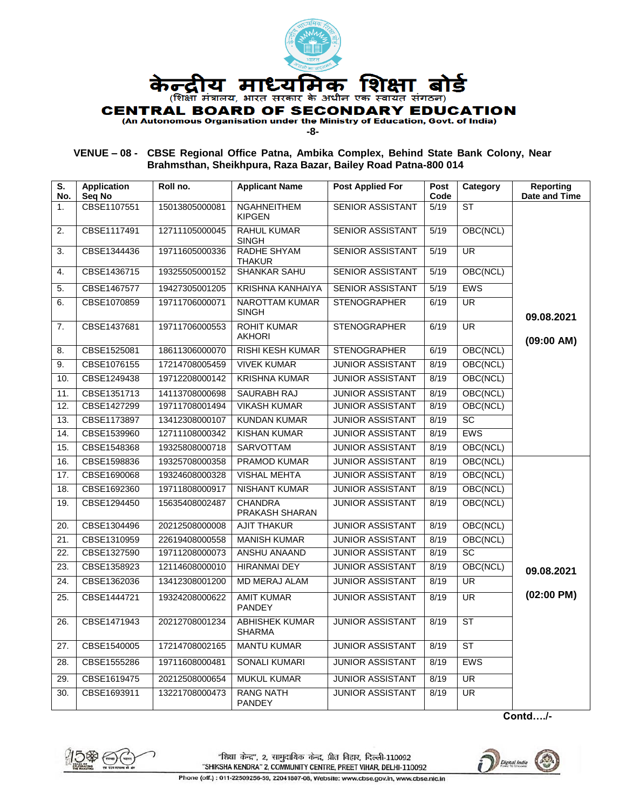

**-8-**

# **VENUE – 08 - CBSE Regional Office Patna, Ambika Complex, Behind State Bank Colony, Near Brahmsthan, Sheikhpura, Raza Bazar, Bailey Road Patna-800 014**

| S.<br>No.      | <b>Application</b><br>Seq No | Roll no.       | <b>Applicant Name</b>                  | <b>Post Applied For</b> | <b>Post</b><br>Code | Category                 | <b>Reporting</b><br>Date and Time |
|----------------|------------------------------|----------------|----------------------------------------|-------------------------|---------------------|--------------------------|-----------------------------------|
| 1 <sub>1</sub> | CBSE1107551                  | 15013805000081 | <b>NGAHNEITHEM</b><br><b>KIPGEN</b>    | <b>SENIOR ASSISTANT</b> | 5/19                | <b>ST</b>                |                                   |
| 2.             | CBSE1117491                  | 12711105000045 | <b>RAHUL KUMAR</b><br><b>SINGH</b>     | <b>SENIOR ASSISTANT</b> | 5/19                | OBC(NCL)                 |                                   |
| 3.             | CBSE1344436                  | 19711605000336 | <b>RADHE SHYAM</b><br>THAKUR           | <b>SENIOR ASSISTANT</b> | 5/19                | <b>UR</b>                |                                   |
| 4.             | CBSE1436715                  | 19325505000152 | <b>SHANKAR SAHU</b>                    | SENIOR ASSISTANT        | 5/19                | OBC(NCL)                 |                                   |
| 5.             | CBSE1467577                  | 19427305001205 | <b>KRISHNA KANHAIYA</b>                | <b>SENIOR ASSISTANT</b> | 5/19                | <b>EWS</b>               |                                   |
| 6.             | CBSE1070859                  | 19711706000071 | <b>NAROTTAM KUMAR</b><br><b>SINGH</b>  | <b>STENOGRAPHER</b>     | 6/19                | <b>UR</b>                | 09.08.2021                        |
| 7.             | CBSE1437681                  | 19711706000553 | <b>ROHIT KUMAR</b><br><b>AKHORI</b>    | <b>STENOGRAPHER</b>     | 6/19                | $\overline{\mathsf{UR}}$ | (09:00 AM)                        |
| 8.             | CBSE1525081                  | 18611306000070 | RISHI KESH KUMAR                       | <b>STENOGRAPHER</b>     | 6/19                | OBC(NCL)                 |                                   |
| 9.             | CBSE1076155                  | 17214708005459 | <b>VIVEK KUMAR</b>                     | <b>JUNIOR ASSISTANT</b> | 8/19                | OBC(NCL)                 |                                   |
| 10.            | CBSE1249438                  | 19712208000142 | <b>KRISHNA KUMAR</b>                   | <b>JUNIOR ASSISTANT</b> | 8/19                | OBC(NCL)                 |                                   |
| 11.            | CBSE1351713                  | 14113708000698 | <b>SAURABH RAJ</b>                     | <b>JUNIOR ASSISTANT</b> | 8/19                | OBC(NCL)                 |                                   |
| 12.            | CBSE1427299                  | 19711708001494 | <b>VIKASH KUMAR</b>                    | <b>JUNIOR ASSISTANT</b> | 8/19                | OBC(NCL)                 |                                   |
| 13.            | CBSE1173897                  | 13412308000107 | <b>KUNDAN KUMAR</b>                    | <b>JUNIOR ASSISTANT</b> | 8/19                | <b>SC</b>                |                                   |
| 14.            | CBSE1539960                  | 12711108000342 | <b>KISHAN KUMAR</b>                    | <b>JUNIOR ASSISTANT</b> | 8/19                | <b>EWS</b>               |                                   |
| 15.            | CBSE1548368                  | 19325808000718 | SARVOTTAM                              | <b>JUNIOR ASSISTANT</b> | 8/19                | OBC(NCL)                 |                                   |
| 16.            | CBSE1598836                  | 19325708000358 | PRAMOD KUMAR                           | <b>JUNIOR ASSISTANT</b> | 8/19                | OBC(NCL)                 |                                   |
| 17.            | CBSE1690068                  | 19324608000328 | <b>VISHAL MEHTA</b>                    | <b>JUNIOR ASSISTANT</b> | 8/19                | OBC(NCL)                 |                                   |
| 18.            | CBSE1692360                  | 19711808000917 | NISHANT KUMAR                          | <b>JUNIOR ASSISTANT</b> | 8/19                | OBC(NCL)                 |                                   |
| 19.            | CBSE1294450                  | 15635408002487 | <b>CHANDRA</b><br>PRAKASH SHARAN       | <b>JUNIOR ASSISTANT</b> | 8/19                | OBC(NCL)                 |                                   |
| 20.            | CBSE1304496                  | 20212508000008 | <b>AJIT THAKUR</b>                     | <b>JUNIOR ASSISTANT</b> | 8/19                | OBC(NCL)                 |                                   |
| 21.            | CBSE1310959                  | 22619408000558 | <b>MANISH KUMAR</b>                    | <b>JUNIOR ASSISTANT</b> | 8/19                | OBC(NCL)                 |                                   |
| 22.            | CBSE1327590                  | 19711208000073 | <b>ANSHU ANAAND</b>                    | <b>JUNIOR ASSISTANT</b> | 8/19                | $\overline{SC}$          |                                   |
| 23.            | CBSE1358923                  | 12114608000010 | <b>HIRANMAI DEY</b>                    | <b>JUNIOR ASSISTANT</b> | 8/19                | OBC(NCL)                 | 09.08.2021                        |
| 24.            | CBSE1362036                  | 13412308001200 | <b>MD MERAJ ALAM</b>                   | <b>JUNIOR ASSISTANT</b> | 8/19                | <b>UR</b>                |                                   |
| 25.            | CBSE1444721                  | 19324208000622 | <b>AMIT KUMAR</b><br><b>PANDEY</b>     | <b>JUNIOR ASSISTANT</b> | 8/19                | <b>UR</b>                | $(02:00$ PM)                      |
| 26.            | CBSE1471943                  | 20212708001234 | <b>ABHISHEK KUMAR</b><br><b>SHARMA</b> | <b>JUNIOR ASSISTANT</b> | 8/19                | $\overline{\text{ST}}$   |                                   |
| 27.            | CBSE1540005                  | 17214708002165 | <b>MANTU KUMAR</b>                     | <b>JUNIOR ASSISTANT</b> | 8/19                | <b>ST</b>                |                                   |
| 28.            | CBSE1555286                  | 19711608000481 | <b>SONALI KUMARI</b>                   | <b>JUNIOR ASSISTANT</b> | 8/19                | <b>EWS</b>               |                                   |
| 29.            | CBSE1619475                  | 20212508000654 | <b>MUKUL KUMAR</b>                     | <b>JUNIOR ASSISTANT</b> | 8/19                | <b>UR</b>                |                                   |
| 30.            | CBSE1693911                  | 13221708000473 | <b>RANG NATH</b><br><b>PANDEY</b>      | <b>JUNIOR ASSISTANT</b> | 8/19                | $\overline{\mathsf{UR}}$ |                                   |

**Contd…./-**



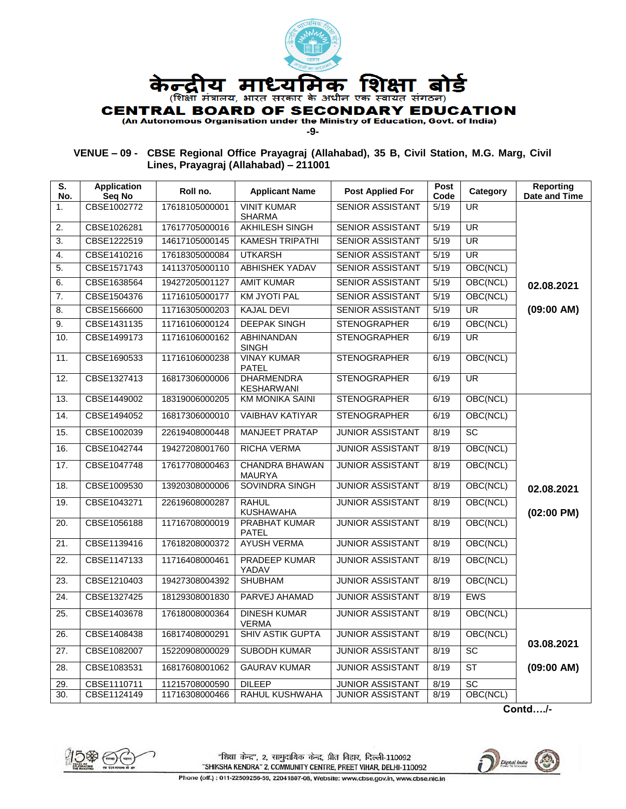

**-9-**

# **VENUE – 09 - CBSE Regional Office Prayagraj (Allahabad), 35 B, Civil Station, M.G. Marg, Civil Lines, Prayagraj (Allahabad) – 211001**

| S.<br>No.        | <b>Application</b><br>Seq No | Roll no.       | <b>Applicant Name</b>                  | <b>Post Applied For</b> | Post<br>Code | Category                 | <b>Reporting</b><br>Date and Time |
|------------------|------------------------------|----------------|----------------------------------------|-------------------------|--------------|--------------------------|-----------------------------------|
| 1.               | CBSE1002772                  | 17618105000001 | <b>VINIT KUMAR</b><br><b>SHARMA</b>    | <b>SENIOR ASSISTANT</b> | 5/19         | <b>UR</b>                |                                   |
| 2.               | CBSE1026281                  | 17617705000016 | <b>AKHILESH SINGH</b>                  | <b>SENIOR ASSISTANT</b> | 5/19         | <b>UR</b>                |                                   |
| 3.               | CBSE1222519                  | 14617105000145 | <b>KAMESH TRIPATHI</b>                 | <b>SENIOR ASSISTANT</b> | 5/19         | <b>UR</b>                |                                   |
| 4.               | CBSE1410216                  | 17618305000084 | <b>UTKARSH</b>                         | <b>SENIOR ASSISTANT</b> | 5/19         | <b>UR</b>                |                                   |
| 5.               | CBSE1571743                  | 14113705000110 | <b>ABHISHEK YADAV</b>                  | <b>SENIOR ASSISTANT</b> | 5/19         | OBC(NCL)                 |                                   |
| 6.               | CBSE1638564                  | 19427205001127 | <b>AMIT KUMAR</b>                      | <b>SENIOR ASSISTANT</b> | 5/19         | OBC(NCL)                 | 02.08.2021                        |
| $\overline{7}$ . | CBSE1504376                  | 11716105000177 | <b>KM JYOTI PAL</b>                    | SENIOR ASSISTANT        | 5/19         | OBC(NCL)                 |                                   |
| 8.               | CBSE1566600                  | 11716305000203 | <b>KAJAL DEVI</b>                      | <b>SENIOR ASSISTANT</b> | 5/19         | <b>UR</b>                | (09:00 AM)                        |
| 9.               | CBSE1431135                  | 11716106000124 | <b>DEEPAK SINGH</b>                    | <b>STENOGRAPHER</b>     | 6/19         | OBC(NCL)                 |                                   |
| 10.              | CBSE1499173                  | 11716106000162 | <b>ABHINANDAN</b><br><b>SINGH</b>      | <b>STENOGRAPHER</b>     | 6/19         | $\overline{\mathsf{UR}}$ |                                   |
| 11.              | CBSE1690533                  | 11716106000238 | <b>VINAY KUMAR</b><br><b>PATEL</b>     | <b>STENOGRAPHER</b>     | 6/19         | OBC(NCL)                 |                                   |
| 12.              | CBSE1327413                  | 16817306000006 | <b>DHARMENDRA</b><br><b>KESHARWANI</b> | <b>STENOGRAPHER</b>     | 6/19         | $\overline{\mathsf{UR}}$ |                                   |
| 13.              | CBSE1449002                  | 18319006000205 | <b>KM MONIKA SAINI</b>                 | <b>STENOGRAPHER</b>     | 6/19         | OBC(NCL)                 |                                   |
| 14.              | CBSE1494052                  | 16817306000010 | <b>VAIBHAV KATIYAR</b>                 | <b>STENOGRAPHER</b>     | 6/19         | OBC(NCL)                 |                                   |
| 15.              | CBSE1002039                  | 22619408000448 | <b>MANJEET PRATAP</b>                  | <b>JUNIOR ASSISTANT</b> | 8/19         | <b>SC</b>                |                                   |
| 16.              | CBSE1042744                  | 19427208001760 | <b>RICHA VERMA</b>                     | <b>JUNIOR ASSISTANT</b> | 8/19         | OBC(NCL)                 |                                   |
| 17.              | CBSE1047748                  | 17617708000463 | <b>CHANDRA BHAWAN</b><br><b>MAURYA</b> | <b>JUNIOR ASSISTANT</b> | 8/19         | OBC(NCL)                 |                                   |
| 18.              | CBSE1009530                  | 13920308000006 | SOVINDRA SINGH                         | <b>JUNIOR ASSISTANT</b> | 8/19         | OBC(NCL)                 | 02.08.2021                        |
| 19.              | CBSE1043271                  | 22619608000287 | <b>RAHUL</b><br><b>KUSHAWAHA</b>       | <b>JUNIOR ASSISTANT</b> | 8/19         | OBC(NCL)                 | $(02:00$ PM)                      |
| 20.              | CBSE1056188                  | 11716708000019 | <b>PRABHAT KUMAR</b><br>PATEL          | <b>JUNIOR ASSISTANT</b> | 8/19         | OBC(NCL)                 |                                   |
| 21.              | CBSE1139416                  | 17618208000372 | <b>AYUSH VERMA</b>                     | <b>JUNIOR ASSISTANT</b> | 8/19         | OBC(NCL)                 |                                   |
| 22.              | CBSE1147133                  | 11716408000461 | PRADEEP KUMAR<br>YADAV                 | <b>JUNIOR ASSISTANT</b> | 8/19         | OBC(NCL)                 |                                   |
| 23.              | CBSE1210403                  | 19427308004392 | <b>SHUBHAM</b>                         | <b>JUNIOR ASSISTANT</b> | 8/19         | OBC(NCL)                 |                                   |
| 24.              | CBSE1327425                  | 18129308001830 | PARVEJ AHAMAD                          | <b>JUNIOR ASSISTANT</b> | 8/19         | <b>EWS</b>               |                                   |
| 25.              | CBSE1403678                  | 17618008000364 | <b>DINESH KUMAR</b><br><b>VERMA</b>    | <b>JUNIOR ASSISTANT</b> | 8/19         | OBC(NCL)                 |                                   |
| 26.              | CBSE1408438                  | 16817408000291 | SHIV ASTIK GUPTA                       | <b>JUNIOR ASSISTANT</b> | 8/19         | OBC(NCL)                 | 03.08.2021                        |
| 27.              | CBSE1082007                  | 15220908000029 | <b>SUBODH KUMAR</b>                    | <b>JUNIOR ASSISTANT</b> | 8/19         | SC                       |                                   |
| 28.              | CBSE1083531                  | 16817608001062 | <b>GAURAV KUMAR</b>                    | <b>JUNIOR ASSISTANT</b> | 8/19         | <b>ST</b>                | (09:00 AM)                        |
| 29.              | CBSE1110711                  | 11215708000590 | <b>DILEEP</b>                          | <b>JUNIOR ASSISTANT</b> | 8/19         | SC                       |                                   |
| 30.              | CBSE1124149                  | 11716308000466 | <b>RAHUL KUSHWAHA</b>                  | <b>JUNIOR ASSISTANT</b> | 8/19         | OBC(NCL)                 |                                   |

**Contd…./-**



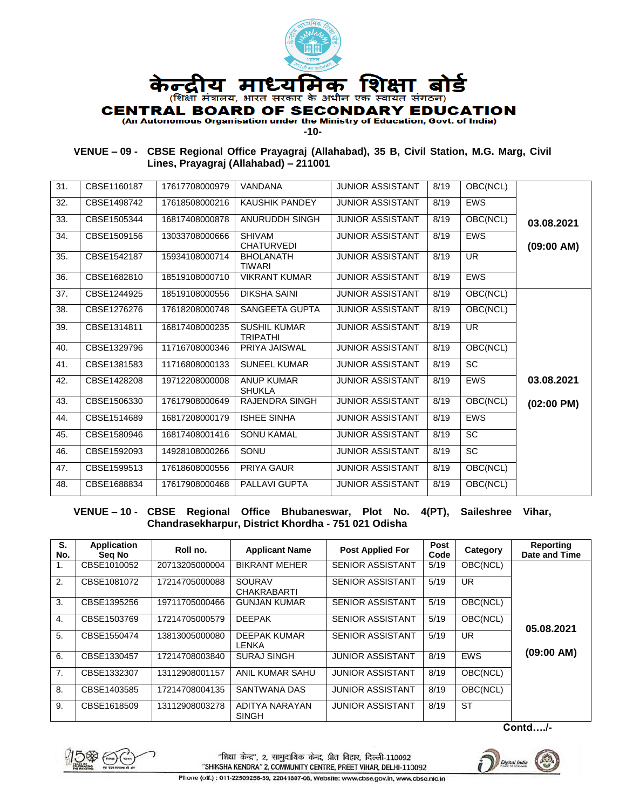

**-10-**

**VENUE – 09 - CBSE Regional Office Prayagraj (Allahabad), 35 B, Civil Station, M.G. Marg, Civil Lines, Prayagraj (Allahabad) – 211001**

| 31. | CBSE1160187 | 17617708000979 | <b>VANDANA</b>                         | <b>JUNIOR ASSISTANT</b> | 8/19 | OBC(NCL)   |                      |
|-----|-------------|----------------|----------------------------------------|-------------------------|------|------------|----------------------|
| 32. | CBSE1498742 | 17618508000216 | <b>KAUSHIK PANDEY</b>                  | <b>JUNIOR ASSISTANT</b> | 8/19 | <b>EWS</b> |                      |
| 33. | CBSE1505344 | 16817408000878 | ANURUDDH SINGH                         | <b>JUNIOR ASSISTANT</b> | 8/19 | OBC(NCL)   | 03.08.2021           |
| 34. | CBSE1509156 | 13033708000666 | <b>SHIVAM</b><br><b>CHATURVEDI</b>     | <b>JUNIOR ASSISTANT</b> | 8/19 | <b>EWS</b> | (09:00 AM)           |
| 35. | CBSE1542187 | 15934108000714 | <b>BHOLANATH</b><br><b>TIWARI</b>      | <b>JUNIOR ASSISTANT</b> | 8/19 | <b>UR</b>  |                      |
| 36. | CBSE1682810 | 18519108000710 | <b>VIKRANT KUMAR</b>                   | <b>JUNIOR ASSISTANT</b> | 8/19 | <b>EWS</b> |                      |
| 37. | CBSE1244925 | 18519108000556 | <b>DIKSHA SAINI</b>                    | <b>JUNIOR ASSISTANT</b> | 8/19 | OBC(NCL)   |                      |
| 38. | CBSE1276276 | 17618208000748 | SANGEETA GUPTA                         | <b>JUNIOR ASSISTANT</b> | 8/19 | OBC(NCL)   |                      |
| 39. | CBSE1314811 | 16817408000235 | <b>SUSHIL KUMAR</b><br><b>TRIPATHI</b> | <b>JUNIOR ASSISTANT</b> | 8/19 | <b>UR</b>  |                      |
| 40. | CBSE1329796 | 11716708000346 | PRIYA JAISWAL                          | <b>JUNIOR ASSISTANT</b> | 8/19 | OBC(NCL)   |                      |
| 41. | CBSE1381583 | 11716808000133 | <b>SUNEEL KUMAR</b>                    | <b>JUNIOR ASSISTANT</b> | 8/19 | SC         |                      |
| 42. | CBSE1428208 | 19712208000008 | <b>ANUP KUMAR</b><br><b>SHUKLA</b>     | <b>JUNIOR ASSISTANT</b> | 8/19 | <b>EWS</b> | 03.08.2021           |
| 43. | CBSE1506330 | 17617908000649 | <b>RAJENDRA SINGH</b>                  | <b>JUNIOR ASSISTANT</b> | 8/19 | OBC(NCL)   | $(02:00 \text{ PM})$ |
| 44. | CBSE1514689 | 16817208000179 | <b>ISHEE SINHA</b>                     | <b>JUNIOR ASSISTANT</b> | 8/19 | <b>EWS</b> |                      |
| 45. | CBSE1580946 | 16817408001416 | <b>SONU KAMAL</b>                      | <b>JUNIOR ASSISTANT</b> | 8/19 | <b>SC</b>  |                      |
| 46. | CBSE1592093 | 14928108000266 | SONU                                   | <b>JUNIOR ASSISTANT</b> | 8/19 | <b>SC</b>  |                      |
| 47. | CBSE1599513 | 17618608000556 | PRIYA GAUR                             | <b>JUNIOR ASSISTANT</b> | 8/19 | OBC(NCL)   |                      |
| 48. | CBSE1688834 | 17617908000468 | PALLAVI GUPTA                          | <b>JUNIOR ASSISTANT</b> | 8/19 | OBC(NCL)   |                      |
|     |             |                |                                        |                         |      |            |                      |

**VENUE – 10 - CBSE Regional Office Bhubaneswar, Plot No. 4(PT), Saileshree Vihar, Chandrasekharpur, District Khordha - 751 021 Odisha**

| S.<br>No. | Application<br>Seg No | Roll no.       | <b>Applicant Name</b>               | <b>Post Applied For</b> | Post<br>Code | Category              | Reporting<br>Date and Time |
|-----------|-----------------------|----------------|-------------------------------------|-------------------------|--------------|-----------------------|----------------------------|
| 1.        | CBSE1010052           | 20713205000004 | <b>BIKRANT MEHER</b>                | <b>SENIOR ASSISTANT</b> | 5/19         | OBC(NCL)              |                            |
| 2.        | CBSE1081072           | 17214705000088 | <b>SOURAV</b><br><b>CHAKRABARTI</b> | <b>SENIOR ASSISTANT</b> | 5/19         | UR.                   |                            |
| 3.        | CBSE1395256           | 19711705000466 | <b>GUNJAN KUMAR</b>                 | <b>SENIOR ASSISTANT</b> | 5/19         | OBC(NCL)              |                            |
| 4.        | CBSE1503769           | 17214705000579 | <b>DEEPAK</b>                       | <b>SENIOR ASSISTANT</b> | 5/19         | $\overline{OBC}(NCL)$ | 05.08.2021                 |
| 5.        | CBSE1550474           | 13813005000080 | <b>DEEPAK KUMAR</b><br>LENKA        | <b>SENIOR ASSISTANT</b> | 5/19         | UR.                   |                            |
| 6.        | CBSE1330457           | 17214708003840 | <b>SURAJ SINGH</b>                  | <b>JUNIOR ASSISTANT</b> | 8/19         | <b>EWS</b>            | (09:00 AM)                 |
| 7.        | CBSE1332307           | 13112908001157 | ANIL KUMAR SAHU                     | <b>JUNIOR ASSISTANT</b> | 8/19         | OBC(NCL)              |                            |
| 8.        | CBSE1403585           | 17214708004135 | SANTWANA DAS                        | <b>JUNIOR ASSISTANT</b> | 8/19         | OBC(NCL)              |                            |
| 9.        | CBSE1618509           | 13112908003278 | ADITYA NARAYAN<br><b>SINGH</b>      | <b>JUNIOR ASSISTANT</b> | 8/19         | <b>ST</b>             |                            |

**Contd…./-**



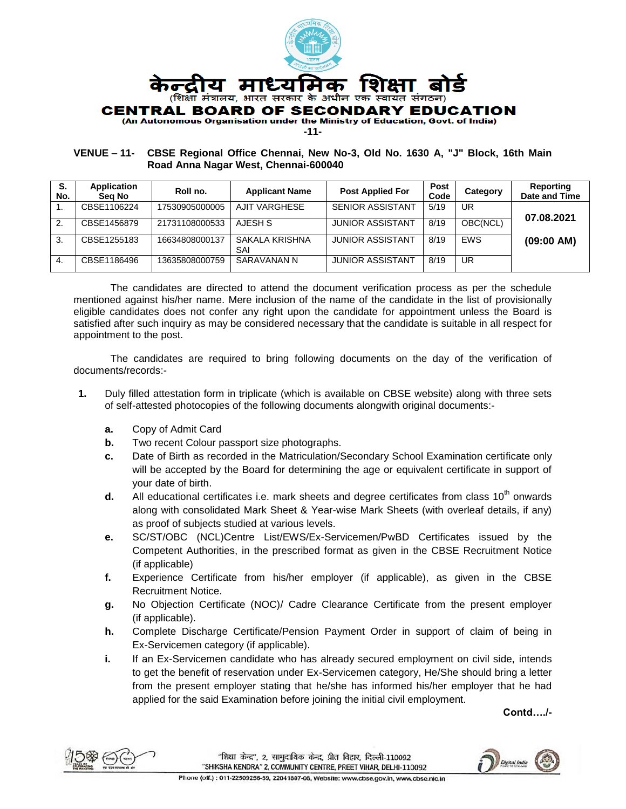

**-11-**

#### **VENUE – 11- CBSE Regional Office Chennai, New No-3, Old No. 1630 A, "J" Block, 16th Main Road Anna Nagar West, Chennai-600040**

| S.<br>No. | Application<br>Sea No | Roll no.       | <b>Applicant Name</b> | <b>Post Applied For</b> | Post<br>Code | Category   | Reporting<br>Date and Time |
|-----------|-----------------------|----------------|-----------------------|-------------------------|--------------|------------|----------------------------|
|           | CBSE1106224           | 17530905000005 | AJIT VARGHESE         | <b>SENIOR ASSISTANT</b> | 5/19         | UR         | 07.08.2021                 |
| 2.        | CBSE1456879           | 21731108000533 | AJESH S               | <b>JUNIOR ASSISTANT</b> | 8/19         | OBC(NCL)   |                            |
| 3.        | CBSE1255183           | 16634808000137 | SAKALA KRISHNA<br>SAI | <b>JUNIOR ASSISTANT</b> | 8/19         | <b>FWS</b> | (09:00 AM)                 |
| -4.       | CBSE1186496           | 13635808000759 | SARAVANAN N           | <b>JUNIOR ASSISTANT</b> | 8/19         | UR         |                            |

The candidates are directed to attend the document verification process as per the schedule mentioned against his/her name. Mere inclusion of the name of the candidate in the list of provisionally eligible candidates does not confer any right upon the candidate for appointment unless the Board is satisfied after such inquiry as may be considered necessary that the candidate is suitable in all respect for appointment to the post.

The candidates are required to bring following documents on the day of the verification of documents/records:-

- **1.** Duly filled attestation form in triplicate (which is available on CBSE website) along with three sets of self-attested photocopies of the following documents alongwith original documents:
	- **a.** Copy of Admit Card
	- **b.** Two recent Colour passport size photographs.
	- **c.** Date of Birth as recorded in the Matriculation/Secondary School Examination certificate only will be accepted by the Board for determining the age or equivalent certificate in support of your date of birth.
	- **d.** All educational certificates i.e. mark sheets and degree certificates from class 10<sup>th</sup> onwards along with consolidated Mark Sheet & Year-wise Mark Sheets (with overleaf details, if any) as proof of subjects studied at various levels.
	- **e.** SC/ST/OBC (NCL)Centre List/EWS/Ex-Servicemen/PwBD Certificates issued by the Competent Authorities, in the prescribed format as given in the CBSE Recruitment Notice (if applicable)
	- **f.** Experience Certificate from his/her employer (if applicable), as given in the CBSE Recruitment Notice.
	- **g.** No Objection Certificate (NOC)/ Cadre Clearance Certificate from the present employer (if applicable).
	- **h.** Complete Discharge Certificate/Pension Payment Order in support of claim of being in Ex-Servicemen category (if applicable).
	- **i.** If an Ex-Servicemen candidate who has already secured employment on civil side, intends to get the benefit of reservation under Ex-Servicemen category, He/She should bring a letter from the present employer stating that he/she has informed his/her employer that he had applied for the said Examination before joining the initial civil employment.

**Contd…./-**